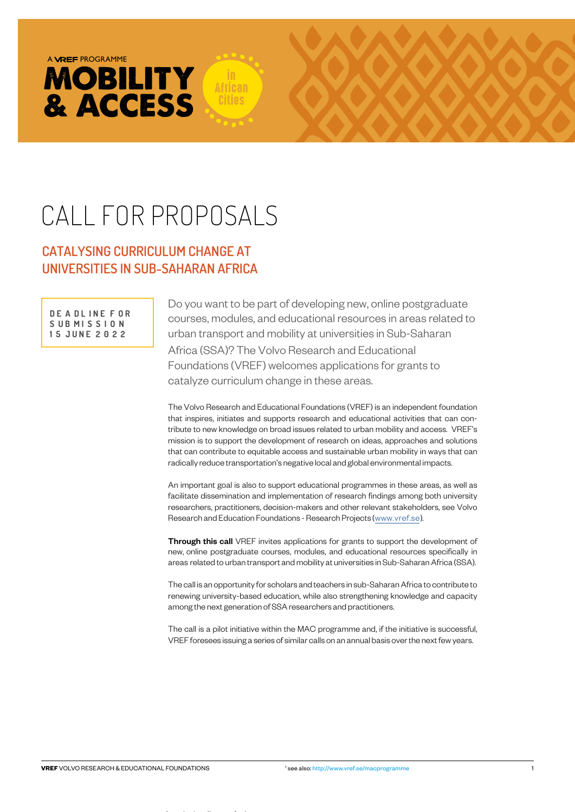# CALL FOR PROPOSALS

frican

## **CATALYSING CURRICULUM CHANGE AT UNIVERSITIES IN SUB-SAHARAN AFRICA**

**D E A DL INE F OR S U B M I S S I O N 1 5 JUNE 2 0 2 2** 

A **VREE** PROGRAMME

**MOBILITY** 

& ACCESS

Do you want to be part of developing new, online postgraduate courses, modules, and educational resources in areas related to urban transport and mobility at universities in Sub-Saharan Africa (SSA)? The Volvo Research and Educational Foundations (VREF) welcomes applications for grants to catalyze curriculum change in these areas.

The Volvo Research and Educational Foundations (VREF) is an independent foundation that inspires, initiates and supports research and educational activities that can contribute to new knowledge on broad issues related to urban mobility and access. VREF's mission is to support the development of research on ideas, approaches and solutions that can contribute to equitable access and sustainable urban mobility in ways that can radically reduce transportation's negative local and global environmental impacts.

An important goal is also to support educational programmes in these areas, as well as facilitate dissemination and implementation of research findings among both university researchers, practitioners, decision-makers and other relevant stakeholders, see Volvo Research and Education Foundations - Research Projects [\(www.vref.se\)](http://www.vref.se).

**Through this call** VREF invites applications for grants to support the development of new, online postgraduate courses, modules, and educational resources specifically in areas related to urban transport and mobility at universities in Sub-Saharan Africa (SSA).

The call is an opportunity for scholars and teachers in sub-Saharan Africa to contribute to renewing university-based education, while also strengthening knowledge and capacity among the next generation of SSA researchers and practitioners.

The call is a pilot initiative within the MAC programme and, if the initiative is successful, VREF foresees issuing a series of similar calls on an annual basis over the next few years.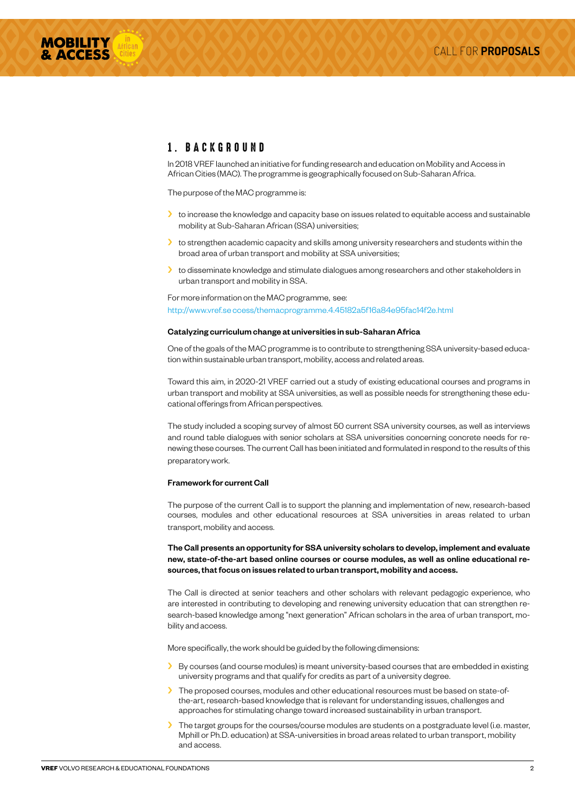

## 1. BACKGROUND

In 2018 VREF launched an initiative for funding research and education on Mobility and Access in African Cities (MAC). The programme is geographically focused on Sub-Saharan Africa.

The purpose of the MAC programme is:

- I to increase the knowledge and capacity base on issues related to equitable access and sustainable mobility at Sub-Saharan African (SSA) universities;
- › to strengthen academic capacity and skills among university researchers and students within the broad area of urban transport and mobility at SSA universities;
- $\blacktriangleright$  to disseminate knowledge and stimulate dialogues among researchers and other stakeholders in urban transport and mobility in SSA.

For more information on the MAC programme, see: http://www.vref.se ccess/themacprogramme.4.45182a5f16a84e95fac14f2e.html

#### Catalyzing curriculum change at universities in sub-Saharan Africa

One of the goals of the MAC programme is to contribute to strengthening SSA university-based education within sustainable urban transport, mobility, access and related areas.

Toward this aim, in 2020-21 VREF carried out a study of existing educational courses and programs in urban transport and mobility at SSA universities, as well as possible needs for strengthening these educational offerings from African perspectives.

The study included a scoping survey of almost 50 current SSA university courses, as well as interviews and round table dialogues with senior scholars at SSA universities concerning concrete needs for renewing these courses. The current Call has been initiated and formulated in respond to the results of this preparatory work.

#### Framework for current Call

The purpose of the current Call is to support the planning and implementation of new, research-based courses, modules and other educational resources at SSA universities in areas related to urban transport, mobility and access.

The Call presents an opportunity for SSA university scholars to develop, implement and evaluate new, state-of-the-art based online courses or course modules, as well as online educational resources, that focus on issues related to urban transport, mobility and access.

The Call is directed at senior teachers and other scholars with relevant pedagogic experience, who are interested in contributing to developing and renewing university education that can strengthen research-based knowledge among "next generation" African scholars in the area of urban transport, mobility and access.

More specifically, the work should be guided by the following dimensions:

- › By courses (and course modules) is meant university-based courses that are embedded in existing university programs and that qualify for credits as part of a university degree.
- The proposed courses, modules and other educational resources must be based on state-ofthe-art, research-based knowledge that is relevant for understanding issues, challenges and approaches for stimulating change toward increased sustainability in urban transport.
- The target groups for the courses/course modules are students on a postgraduate level (i.e. master, Mphill or Ph.D. education) at SSA-universities in broad areas related to urban transport, mobility and access.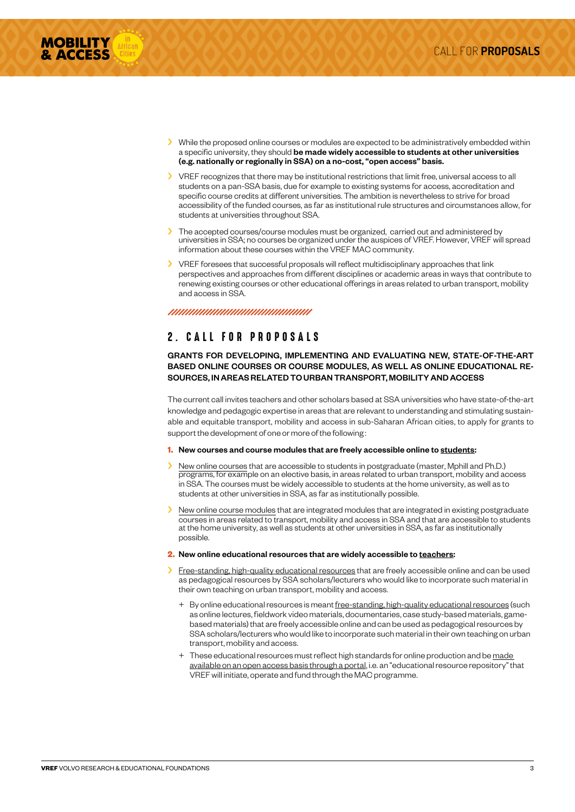

- › While the proposed online courses or modules are expected to be administratively embedded within a specific university, they should be made widely accessible to students at other universities (e.g. nationally or regionally in SSA) on a no-cost, "open access" basis.
- › VREF recognizes that there may be institutional restrictions that limit free, universal access to all students on a pan-SSA basis, due for example to existing systems for access, accreditation and specific course credits at different universities. The ambition is nevertheless to strive for broad accessibility of the funded courses, as far as institutional rule structures and circumstances allow, for students at universities throughout SSA.
- > The accepted courses/course modules must be organized, carried out and administered by universities in SSA; no courses be organized under the auspices of VREF. However, VREF will spread information about these courses within the VREF MAC community.
- › VREF foresees that successful proposals will reflect multidisciplinary approaches that link perspectives and approaches from different disciplines or academic areas in ways that contribute to renewing existing courses or other educational offerings in areas related to urban transport, mobility and access in SSA

#### 

## 2. CALL FOR PROPOSALS

#### GRANTS FOR DEVELOPING, IMPLEMENTING AND EVALUATING NEW, STATE-OF-THE-ART BASED ONLINE COURSES OR COURSE MODULES, AS WELL AS ONLINE EDUCATIONAL RE-SOURCES, IN AREAS RELATED TO URBAN TRANSPORT, MOBILITY AND ACCESS

The current call invites teachers and other scholars based at SSA universities who have state-of-the-art knowledge and pedagogic expertise in areas that are relevant to understanding and stimulating sustainable and equitable transport, mobility and access in sub-Saharan African cities, to apply for grants to support the development of one or more of the following :

#### **1.** New courses and course modules that are freely accessible online to students:

- › New online courses that are accessible to students in postgraduate (master, Mphill and Ph.D.) programs, for example on an elective basis, in areas related to urban transport, mobility and access in SSA. The courses must be widely accessible to students at the home university, as well as to students at other universities in SSA, as far as institutionally possible.
- > New online course modules that are integrated modules that are integrated in existing postgraduate courses in areas related to transport, mobility and access in SSA and that are accessible to students at the home university, as well as students at other universities in SSA, as far as institutionally possible.

#### **2.** New online educational resources that are widely accessible to teachers:

- Free-standing, high-quality educational resources that are freely accessible online and can be used as pedagogical resources by SSA scholars/lecturers who would like to incorporate such material in their own teaching on urban transport, mobility and access.
- + By online educational resources is meant free-standing, high-quality educational resources (such as online lectures, fieldwork video materials, documentaries, case study-based materials, gamebased materials) that are freely accessible online and can be used as pedagogical resources by SSA scholars/lecturers who would like to incorporate such material in their own teaching on urban transport, mobility and access.
- + These educational resources must reflect high standards for online production and be made available on an open access basis through a portal, i.e. an "educational resource repository" that VREF will initiate, operate and fund through the MAC programme.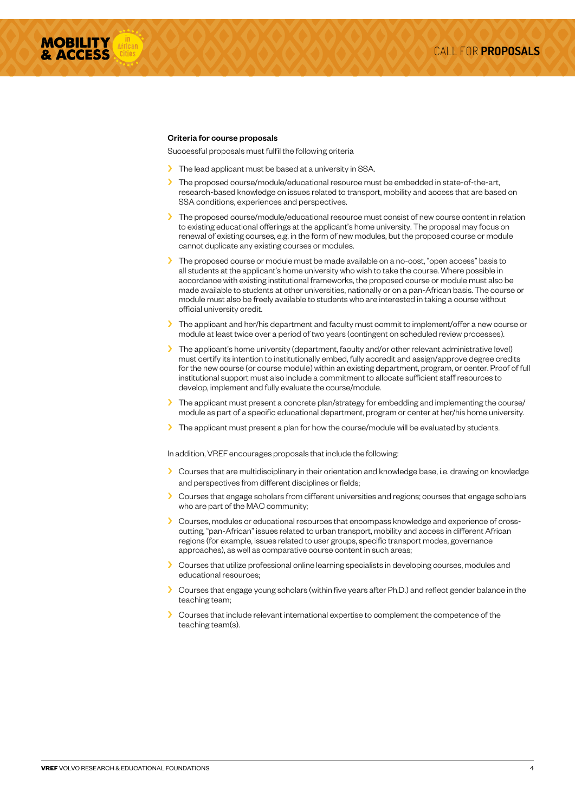

#### Criteria for course proposals

Successful proposals must fulfil the following criteria

- > The lead applicant must be based at a university in SSA.
- > The proposed course/module/educational resource must be embedded in state-of-the-art, research-based knowledge on issues related to transport, mobility and access that are based on SSA conditions, experiences and perspectives.
- › The proposed course/module/educational resource must consist of new course content in relation to existing educational offerings at the applicant's home university. The proposal may focus on renewal of existing courses, e.g. in the form of new modules, but the proposed course or module cannot duplicate any existing courses or modules.
- > The proposed course or module must be made available on a no-cost, "open access" basis to all students at the applicant's home university who wish to take the course. Where possible in accordance with existing institutional frameworks, the proposed course or module must also be made available to students at other universities, nationally or on a pan-African basis. The course or module must also be freely available to students who are interested in taking a course without official university credit.
- The applicant and her/his department and faculty must commit to implement/offer a new course or module at least twice over a period of two years (contingent on scheduled review processes).
- > The applicant's home university (department, faculty and/or other relevant administrative level) must certify its intention to institutionally embed, fully accredit and assign/approve degree credits for the new course (or course module) within an existing department, program, or center. Proof of full institutional support must also include a commitment to allocate sufficient staff resources to develop, implement and fully evaluate the course/module.
- › The applicant must present a concrete plan/strategy for embedding and implementing the course/ module as part of a specific educational department, program or center at her/his home university.
- > The applicant must present a plan for how the course/module will be evaluated by students.

In addition, VREF encourages proposals that include the following:

- $\sum$  Courses that are multidisciplinary in their orientation and knowledge base, i.e. drawing on knowledge and perspectives from different disciplines or fields;
- Courses that engage scholars from different universities and regions; courses that engage scholars who are part of the MAC community;
- › Courses, modules or educational resources that encompass knowledge and experience of crosscutting, "pan-African" issues related to urban transport, mobility and access in different African regions (for example, issues related to user groups, specific transport modes, governance approaches), as well as comparative course content in such areas;
- › Courses that utilize professional online learning specialists in developing courses, modules and educational resources;
- Courses that engage young scholars (within five years after Ph.D.) and reflect gender balance in the teaching team;
- Courses that include relevant international expertise to complement the competence of the teaching team(s).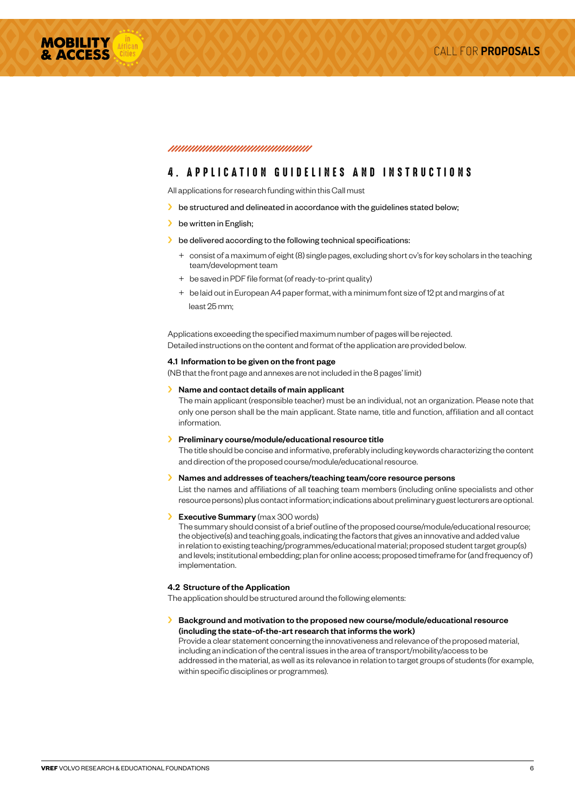

#### 

### 4. APPLICATION GUIDELINES AND INSTRUCTIONS

All applications for research funding within this Call must

- $\blacktriangleright$  be structured and delineated in accordance with the guidelines stated below;
- **b** be written in English;
- $\blacktriangleright$  be delivered according to the following technical specifications:
	- + consist of a maximum of eight (8) single pages, excluding short cv's for key scholars in the teaching team/development team
	- + be saved in PDF file format (of ready-to-print quality)
	- + be laid out in European A4 paper format, with a minimum font size of 12 pt and margins of at least 25 mm;

Applications exceeding the specified maximum number of pages will be rejected. Detailed instructions on the content and format of the application are provided below.

#### 4.1 Information to be given on the front page

(NB that the front page and annexes are not included in the 8 pages' limit)

#### Name and contact details of main applicant

The main applicant (responsible teacher) must be an individual, not an organization. Please note that only one person shall be the main applicant. State name, title and function, affiliation and all contact information.

#### › Preliminary course/module/educational resource title

The title should be concise and informative, preferably including keywords characterizing the content and direction of the proposed course/module/educational resource.

#### › Names and addresses of teachers/teaching team/core resource persons

List the names and affiliations of all teaching team members (including online specialists and other resource persons) plus contact information; indications about preliminary guest lecturers are optional.

#### **Executive Summary** (max 300 words)

The summary should consist of a brief outline of the proposed course/module/educational resource; the objective(s) and teaching goals, indicating the factors that gives an innovative and added value in relation to existing teaching/programmes/educational material; proposed student target group(s) and levels; institutional embedding; plan for online access; proposed timeframe for (and frequency of) implementation.

#### 4.2 Structure of the Application

The application should be structured around the following elements:

› Background and motivation to the proposed new course/module/educational resource (including the state-of-the-art research that informs the work)

Provide a clear statement concerning the innovativeness and relevance of the proposed material, including an indication of the central issues in the area of transport/mobility/access to be addressed in the material, as well as its relevance in relation to target groups of students (for example, within specific disciplines or programmes).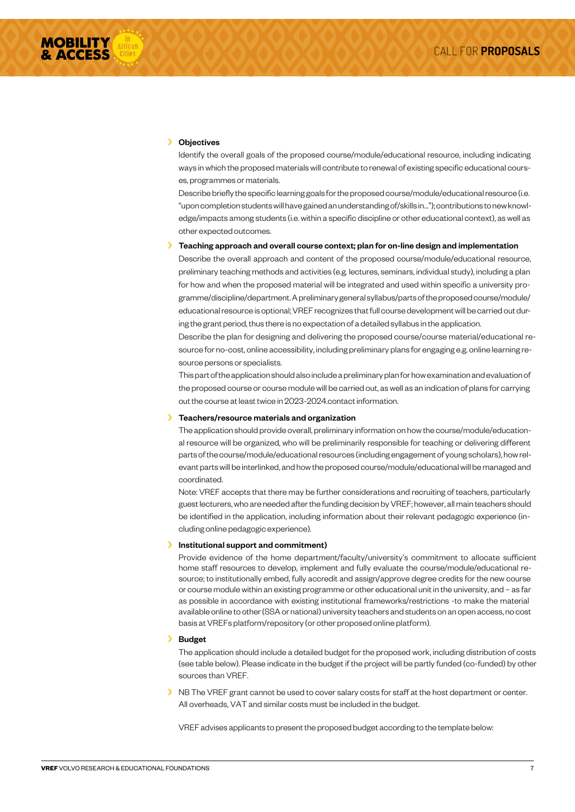#### › Objectives

Identify the overall goals of the proposed course/module/educational resource, including indicating ways in which the proposed materials will contribute to renewal of existing specific educational courses, programmes or materials.

Describe briefly the specific learning goals for the proposed course/module/educational resource (i.e. "upon completion students will have gained an understanding of/skills in…"); contributions to new knowledge/impacts among students (i.e. within a specific discipline or other educational context), as well as other expected outcomes.

#### Teaching approach and overall course context; plan for on-line design and implementation

Describe the overall approach and content of the proposed course/module/educational resource, preliminary teaching methods and activities (e.g. lectures, seminars, individual study), including a plan for how and when the proposed material will be integrated and used within specific a university programme/discipline/department. A preliminary general syllabus/parts of the proposed course/module/ educational resource is optional; VREF recognizes that full course development will be carried out during the grant period, thus there is no expectation of a detailed syllabus in the application.

Describe the plan for designing and delivering the proposed course/course material/educational resource for no-cost, online accessibility, including preliminary plans for engaging e.g. online learning resource persons or specialists.

This part of the application should also include a preliminary plan for how examination and evaluation of the proposed course or course module will be carried out, as well as an indication of plans for carrying out the course at least twice in 2023-2024.contact information.

#### › Teachers/resource materials and organization

The application should provide overall, preliminary information on how the course/module/educational resource will be organized, who will be preliminarily responsible for teaching or delivering different parts of the course/module/educational resources (including engagement of young scholars), how relevant parts will be interlinked, and how the proposed course/module/educational will be managed and coordinated.

Note: VREF accepts that there may be further considerations and recruiting of teachers, particularly guest lecturers, who are needed after the funding decision by VREF; however, all main teachers should be identified in the application, including information about their relevant pedagogic experience (including online pedagogic experience).

#### › Institutional support and commitment)

Provide evidence of the home department/faculty/university's commitment to allocate sufficient home staff resources to develop, implement and fully evaluate the course/module/educational resource; to institutionally embed, fully accredit and assign/approve degree credits for the new course or course module within an existing programme or other educational unit in the university, and – as far as possible in accordance with existing institutional frameworks/restrictions -to make the material available online to other (SSA or national) university teachers and students on an open access, no cost basis at VREFs platform/repository (or other proposed online platform).

#### › Budget

The application should include a detailed budget for the proposed work, including distribution of costs (see table below). Please indicate in the budget if the project will be partly funded (co-funded) by other sources than VREF.

NB The VREF grant cannot be used to cover salary costs for staff at the host department or center. All overheads, VAT and similar costs must be included in the budget.

VREF advises applicants to present the proposed budget according to the template below: